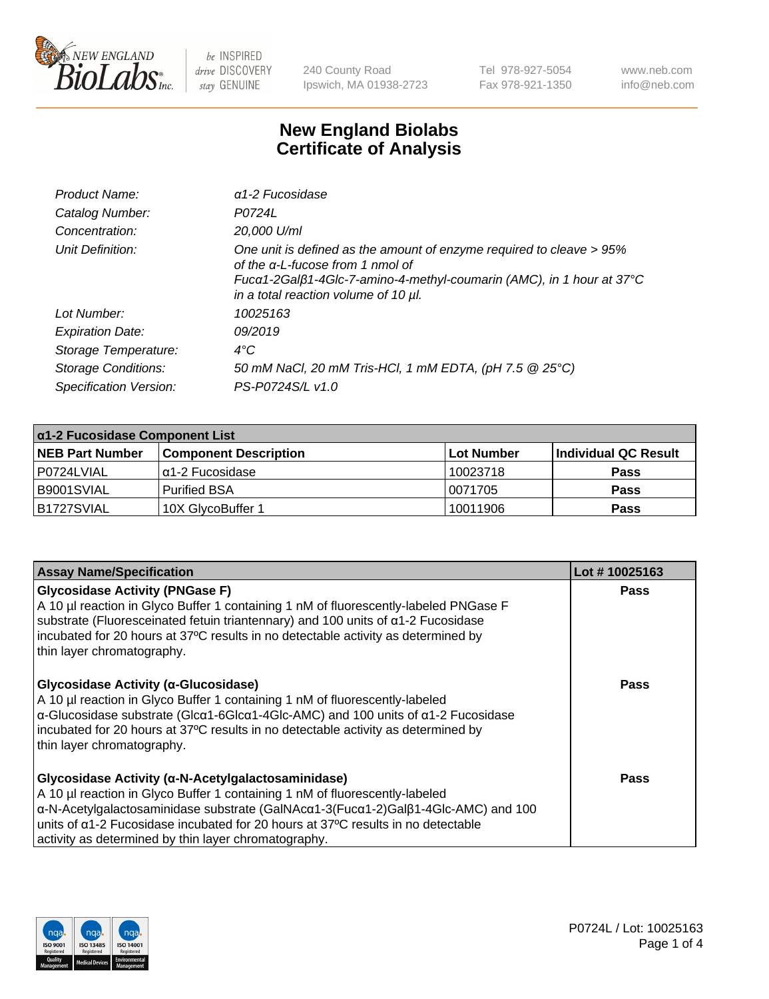

240 County Road Ipswich, MA 01938-2723 Tel 978-927-5054 Fax 978-921-1350 www.neb.com info@neb.com

## **New England Biolabs Certificate of Analysis**

| Product Name:              | $\alpha$ 1-2 Fucosidase                                                                                                                                                                                                          |
|----------------------------|----------------------------------------------------------------------------------------------------------------------------------------------------------------------------------------------------------------------------------|
| Catalog Number:            | P0724L                                                                                                                                                                                                                           |
| Concentration:             | 20,000 U/ml                                                                                                                                                                                                                      |
| Unit Definition:           | One unit is defined as the amount of enzyme required to cleave > 95%<br>of the $\alpha$ -L-fucose from 1 nmol of<br>Fucα1-2Galβ1-4Glc-7-amino-4-methyl-coumarin (AMC), in 1 hour at 37°C<br>in a total reaction volume of 10 µl. |
| Lot Number:                | 10025163                                                                                                                                                                                                                         |
| <b>Expiration Date:</b>    | 09/2019                                                                                                                                                                                                                          |
| Storage Temperature:       | $4^{\circ}$ C                                                                                                                                                                                                                    |
| <b>Storage Conditions:</b> | 50 mM NaCl, 20 mM Tris-HCl, 1 mM EDTA, (pH 7.5 @ 25°C)                                                                                                                                                                           |
| Specification Version:     | PS-P0724S/L v1.0                                                                                                                                                                                                                 |

| $\alpha$ 1-2 Fucosidase Component List |                              |            |                      |  |
|----------------------------------------|------------------------------|------------|----------------------|--|
| <b>NEB Part Number</b>                 | <b>Component Description</b> | Lot Number | Individual QC Result |  |
| l P0724LVIAL                           | Iα1-2 Fucosidase             | 10023718   | <b>Pass</b>          |  |
| B9001SVIAL                             | Purified BSA                 | 10071705   | <b>Pass</b>          |  |
| B1727SVIAL                             | 10X GlycoBuffer 1            | 10011906   | <b>Pass</b>          |  |

| <b>Assay Name/Specification</b>                                                                                                                                                                                                                                                                                                                                                      | Lot #10025163 |
|--------------------------------------------------------------------------------------------------------------------------------------------------------------------------------------------------------------------------------------------------------------------------------------------------------------------------------------------------------------------------------------|---------------|
| <b>Glycosidase Activity (PNGase F)</b><br>A 10 µl reaction in Glyco Buffer 1 containing 1 nM of fluorescently-labeled PNGase F<br>substrate (Fluoresceinated fetuin triantennary) and 100 units of $\alpha$ 1-2 Fucosidase<br>incubated for 20 hours at 37°C results in no detectable activity as determined by<br>thin layer chromatography.                                        | <b>Pass</b>   |
| Glycosidase Activity (α-Glucosidase)<br>A 10 µl reaction in Glyco Buffer 1 containing 1 nM of fluorescently-labeled<br>$\alpha$ -Glucosidase substrate (Glc $\alpha$ 1-6Glc $\alpha$ 1-4Glc-AMC) and 100 units of $\alpha$ 1-2 Fucosidase<br>incubated for 20 hours at 37°C results in no detectable activity as determined by<br>thin layer chromatography.                         | Pass          |
| Glycosidase Activity (α-N-Acetylgalactosaminidase)<br>A 10 µl reaction in Glyco Buffer 1 containing 1 nM of fluorescently-labeled<br>α-N-Acetylgalactosaminidase substrate (GalNAcα1-3(Fucα1-2)Galβ1-4Glc-AMC) and 100<br>units of $\alpha$ 1-2 Fucosidase incubated for 20 hours at 37 $\degree$ C results in no detectable<br>activity as determined by thin layer chromatography. | <b>Pass</b>   |

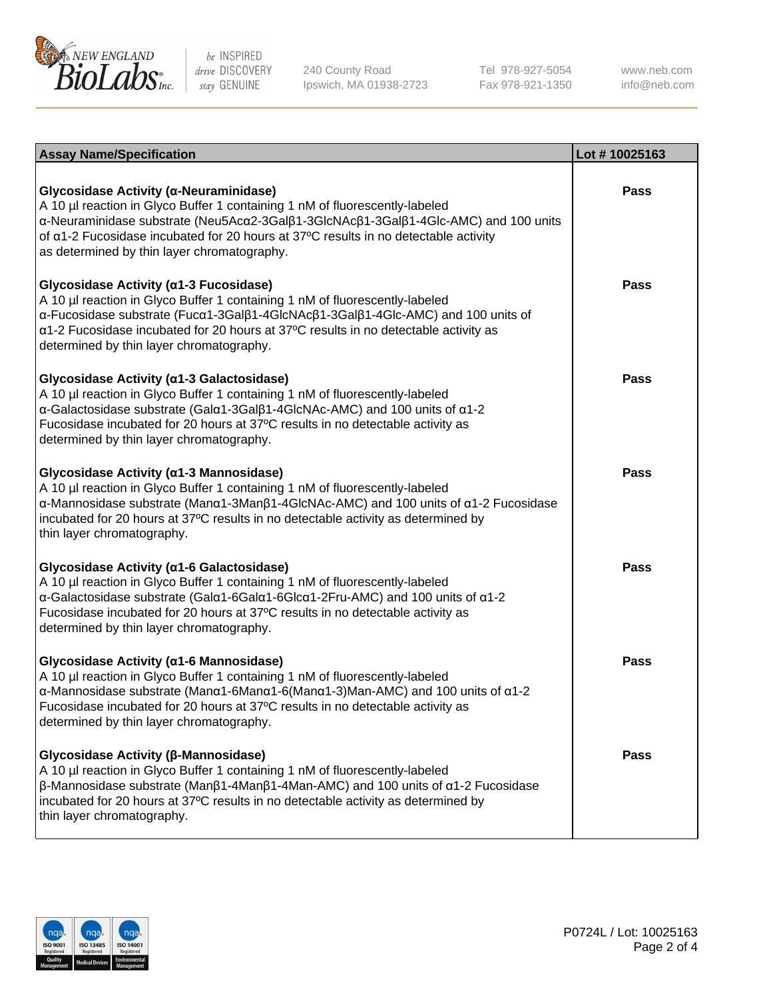

240 County Road Ipswich, MA 01938-2723 Tel 978-927-5054 Fax 978-921-1350

www.neb.com info@neb.com

| <b>Assay Name/Specification</b>                                                                                                                                                                                                                                                                                                                                                   | Lot #10025163 |
|-----------------------------------------------------------------------------------------------------------------------------------------------------------------------------------------------------------------------------------------------------------------------------------------------------------------------------------------------------------------------------------|---------------|
| Glycosidase Activity (α-Neuraminidase)<br>A 10 µl reaction in Glyco Buffer 1 containing 1 nM of fluorescently-labeled<br>α-Neuraminidase substrate (Neu5Acα2-3Galβ1-3GlcNAcβ1-3Galβ1-4Glc-AMC) and 100 units<br>of $\alpha$ 1-2 Fucosidase incubated for 20 hours at 37°C results in no detectable activity<br>as determined by thin layer chromatography.                        | Pass          |
| Glycosidase Activity (α1-3 Fucosidase)<br>A 10 µl reaction in Glyco Buffer 1 containing 1 nM of fluorescently-labeled<br>α-Fucosidase substrate (Fucα1-3Galβ1-4GlcNAcβ1-3Galβ1-4Glc-AMC) and 100 units of<br>α1-2 Fucosidase incubated for 20 hours at 37°C results in no detectable activity as<br>determined by thin layer chromatography.                                      | <b>Pass</b>   |
| Glycosidase Activity (a1-3 Galactosidase)<br>A 10 µl reaction in Glyco Buffer 1 containing 1 nM of fluorescently-labeled<br>α-Galactosidase substrate (Galα1-3Galβ1-4GlcNAc-AMC) and 100 units of α1-2<br>Fucosidase incubated for 20 hours at 37°C results in no detectable activity as<br>determined by thin layer chromatography.                                              | <b>Pass</b>   |
| Glycosidase Activity (α1-3 Mannosidase)<br>A 10 µl reaction in Glyco Buffer 1 containing 1 nM of fluorescently-labeled<br>α-Mannosidase substrate (Μanα1-3Μanβ1-4GlcNAc-AMC) and 100 units of α1-2 Fucosidase<br>incubated for 20 hours at 37°C results in no detectable activity as determined by<br>thin layer chromatography.                                                  | Pass          |
| Glycosidase Activity (α1-6 Galactosidase)<br>A 10 µl reaction in Glyco Buffer 1 containing 1 nM of fluorescently-labeled<br>α-Galactosidase substrate (Galα1-6Galα1-6Glcα1-2Fru-AMC) and 100 units of α1-2<br>Fucosidase incubated for 20 hours at 37°C results in no detectable activity as<br>determined by thin layer chromatography.                                          | <b>Pass</b>   |
| Glycosidase Activity (a1-6 Mannosidase)<br>A 10 µl reaction in Glyco Buffer 1 containing 1 nM of fluorescently-labeled<br>$\alpha$ -Mannosidase substrate (Man $\alpha$ 1-6Man $\alpha$ 1-6(Man $\alpha$ 1-3)Man-AMC) and 100 units of $\alpha$ 1-2<br>Fucosidase incubated for 20 hours at 37°C results in no detectable activity as<br>determined by thin layer chromatography. | <b>Pass</b>   |
| Glycosidase Activity (β-Mannosidase)<br>A 10 µl reaction in Glyco Buffer 1 containing 1 nM of fluorescently-labeled<br>$\beta$ -Mannosidase substrate (Man $\beta$ 1-4Man $\beta$ 1-4Man-AMC) and 100 units of $\alpha$ 1-2 Fucosidase<br>incubated for 20 hours at 37°C results in no detectable activity as determined by<br>thin layer chromatography.                         | Pass          |

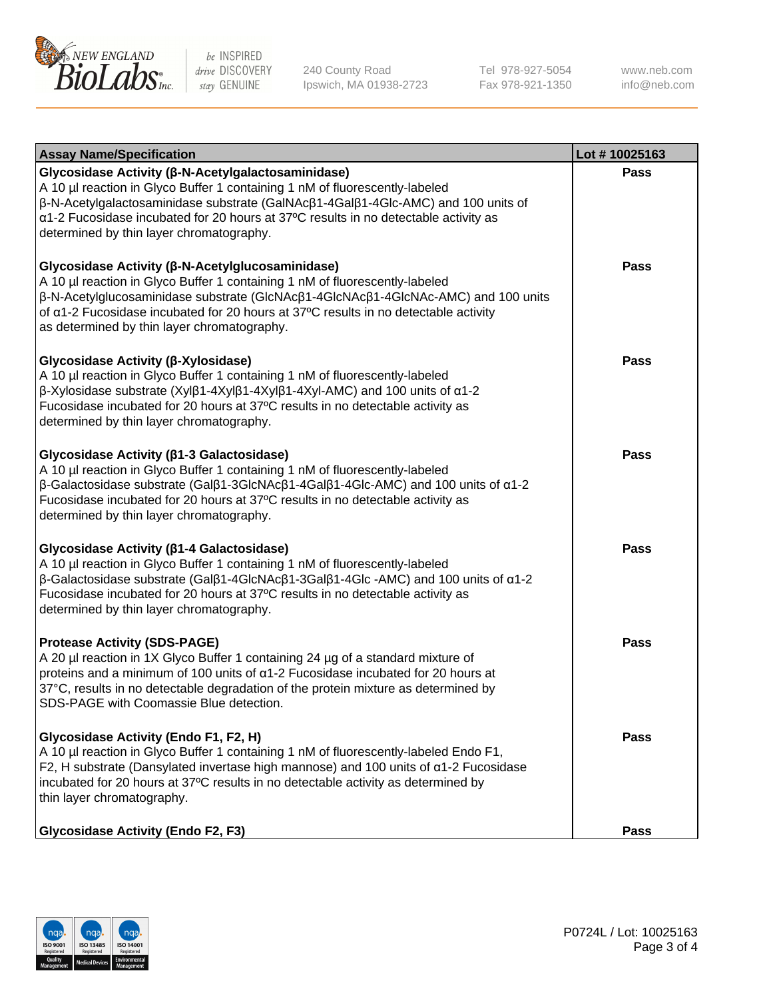

240 County Road Ipswich, MA 01938-2723 Tel 978-927-5054 Fax 978-921-1350 www.neb.com info@neb.com

| <b>Assay Name/Specification</b>                                                                                                                                                                                                                                                                                                                                                    | Lot #10025163 |
|------------------------------------------------------------------------------------------------------------------------------------------------------------------------------------------------------------------------------------------------------------------------------------------------------------------------------------------------------------------------------------|---------------|
| Glycosidase Activity (β-N-Acetylgalactosaminidase)<br>A 10 µl reaction in Glyco Buffer 1 containing 1 nM of fluorescently-labeled<br>β-N-Acetylgalactosaminidase substrate (GalNAcβ1-4Galβ1-4Glc-AMC) and 100 units of<br>α1-2 Fucosidase incubated for 20 hours at 37°C results in no detectable activity as<br>determined by thin layer chromatography.                          | <b>Pass</b>   |
| Glycosidase Activity (β-N-Acetylglucosaminidase)<br>A 10 µl reaction in Glyco Buffer 1 containing 1 nM of fluorescently-labeled<br>β-N-Acetylglucosaminidase substrate (GlcNAcβ1-4GlcNAcβ1-4GlcNAc-AMC) and 100 units<br>of a1-2 Fucosidase incubated for 20 hours at 37°C results in no detectable activity<br>as determined by thin layer chromatography.                        | <b>Pass</b>   |
| Glycosidase Activity (β-Xylosidase)<br>A 10 µl reaction in Glyco Buffer 1 containing 1 nM of fluorescently-labeled<br>β-Xylosidase substrate (Xylβ1-4Xylβ1-4Xylβ1-4Xyl-AMC) and 100 units of α1-2<br>Fucosidase incubated for 20 hours at 37°C results in no detectable activity as<br>determined by thin layer chromatography.                                                    | <b>Pass</b>   |
| Glycosidase Activity (β1-3 Galactosidase)<br>A 10 µl reaction in Glyco Buffer 1 containing 1 nM of fluorescently-labeled<br>$\beta$ -Galactosidase substrate (Gal $\beta$ 1-3GlcNAc $\beta$ 1-4Gal $\beta$ 1-4Glc-AMC) and 100 units of $\alpha$ 1-2<br>Fucosidase incubated for 20 hours at 37°C results in no detectable activity as<br>determined by thin layer chromatography. | <b>Pass</b>   |
| Glycosidase Activity (β1-4 Galactosidase)<br>A 10 µl reaction in Glyco Buffer 1 containing 1 nM of fluorescently-labeled<br>$\beta$ -Galactosidase substrate (Galβ1-4GlcNAcβ1-3Galβ1-4Glc -AMC) and 100 units of α1-2<br>Fucosidase incubated for 20 hours at 37°C results in no detectable activity as<br>determined by thin layer chromatography.                                | <b>Pass</b>   |
| <b>Protease Activity (SDS-PAGE)</b><br>A 20 µl reaction in 1X Glyco Buffer 1 containing 24 µg of a standard mixture of<br>proteins and a minimum of 100 units of $\alpha$ 1-2 Fucosidase incubated for 20 hours at<br>37°C, results in no detectable degradation of the protein mixture as determined by<br>SDS-PAGE with Coomassie Blue detection.                                | <b>Pass</b>   |
| Glycosidase Activity (Endo F1, F2, H)<br>A 10 µl reaction in Glyco Buffer 1 containing 1 nM of fluorescently-labeled Endo F1,<br>F2, H substrate (Dansylated invertase high mannose) and 100 units of a1-2 Fucosidase<br>incubated for 20 hours at 37°C results in no detectable activity as determined by<br>thin layer chromatography.                                           | Pass          |
| <b>Glycosidase Activity (Endo F2, F3)</b>                                                                                                                                                                                                                                                                                                                                          | <b>Pass</b>   |